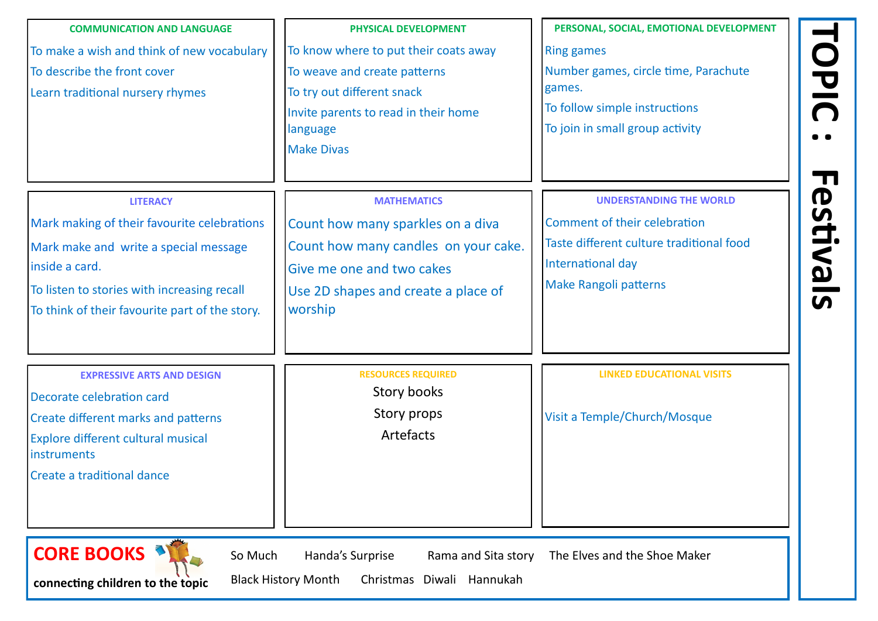**TOPIC : Festivals**

| To know where to put their coats away<br>To make a wish and think of new vocabulary<br>To weave and create patterns<br>To describe the front cover<br>To try out different snack<br>Learn traditional nursery rhymes<br>Invite parents to read in their home<br>language<br><b>Make Divas</b><br><b>LITERACY</b><br><b>MATHEMATICS</b><br>Mark making of their favourite celebrations<br>Count how many sparkles on a diva<br>Count how many candles on your cake.<br>Mark make and write a special message<br>inside a card.<br>Give me one and two cakes<br>To listen to stories with increasing recall<br>Use 2D shapes and create a place of<br>worship<br>To think of their favourite part of the story. | <b>Ring games</b><br>Number games, circle time, Par                                                                                                         |
|---------------------------------------------------------------------------------------------------------------------------------------------------------------------------------------------------------------------------------------------------------------------------------------------------------------------------------------------------------------------------------------------------------------------------------------------------------------------------------------------------------------------------------------------------------------------------------------------------------------------------------------------------------------------------------------------------------------|-------------------------------------------------------------------------------------------------------------------------------------------------------------|
|                                                                                                                                                                                                                                                                                                                                                                                                                                                                                                                                                                                                                                                                                                               | games.<br>To follow simple instructions<br>To join in small group activity                                                                                  |
|                                                                                                                                                                                                                                                                                                                                                                                                                                                                                                                                                                                                                                                                                                               | <b>UNDERSTANDING THE W</b><br>Comment of their celebration<br><b>Taste different culture traditior</b><br>International day<br><b>Make Rangoli patterns</b> |
| <b>RESOURCES REQUIRED</b><br><b>EXPRESSIVE ARTS AND DESIGN</b><br>Story books<br>Decorate celebration card<br>Story props<br>Create different marks and patterns<br>Artefacts<br><b>Explore different cultural musical</b><br>instruments<br>Create a traditional dance                                                                                                                                                                                                                                                                                                                                                                                                                                       | <b>LINKED EDUCATIONAL V</b><br>Visit a Temple/Church/Mosque                                                                                                 |
| <b>CORE BOOKS</b><br>So Much<br>Handa's Surprise<br>Rama and Sita story<br><b>Black History Month</b><br>Hannukah<br>Christmas<br>Diwali<br>connecting children to the topic                                                                                                                                                                                                                                                                                                                                                                                                                                                                                                                                  | The Elves and the Shoe Maker                                                                                                                                |

## **PERSONAL DEVELOPMENT** time, Parachute

**NG THE WORLD** 

traditional food

**LINGTAN EDUCATION ALL VISITS** 

*Mosque*